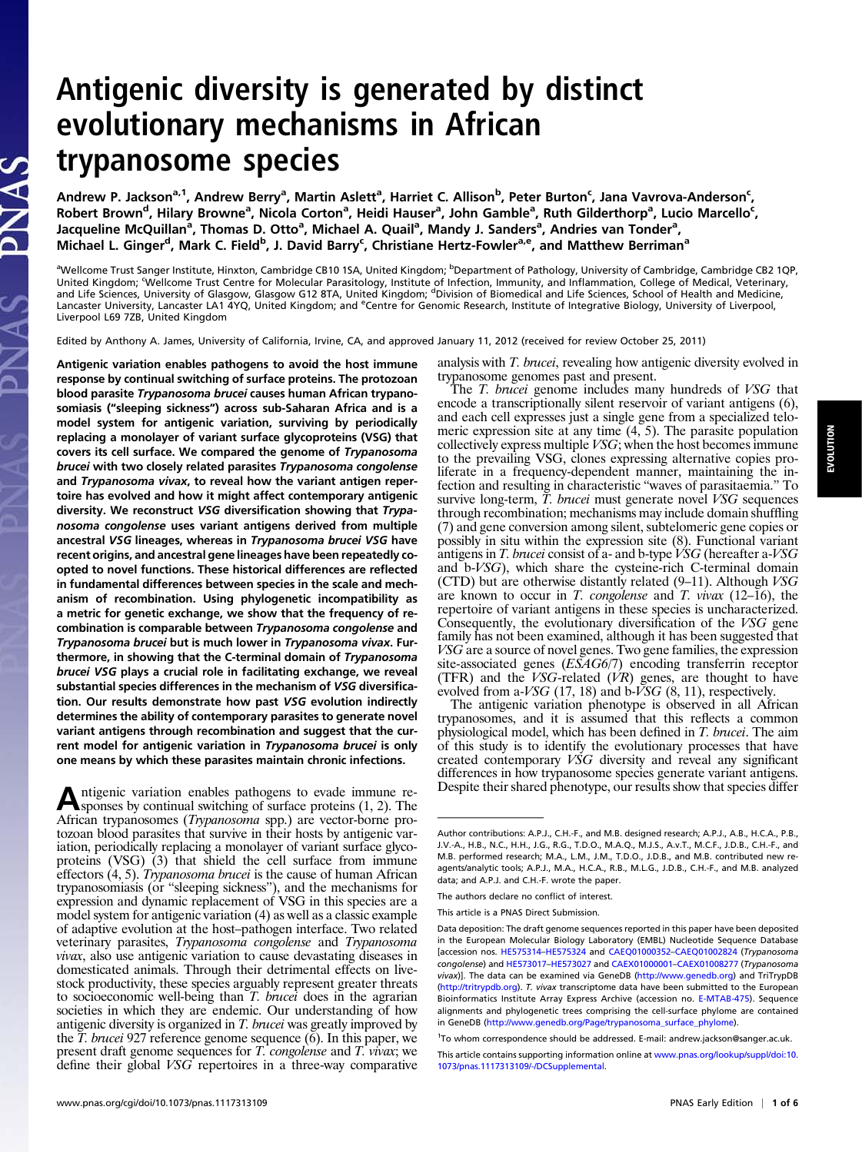## Antigenic diversity is generated by distinct evolutionary mechanisms in African trypanosome species

Andrew P. Jackson<sup>a, 1</sup>, Andrew Berry<sup>a</sup>, Martin Aslett<sup>a</sup>, Harriet C. Allison<sup>b</sup>, Peter Burton<sup>c</sup>, Jana Vavrova-Anderson<sup>c</sup>, Robert Brown<sup>d</sup>, Hilary Browne<sup>a</sup>, Nicola Corton<sup>a</sup>, Heidi Hauser<sup>a</sup>, John Gamble<sup>a</sup>, Ruth Gilderthorp<sup>a</sup>, Lucio Marcello<sup>c</sup>, Jacqueline McQuillan<sup>a</sup>, Thomas D. Otto<sup>a</sup>, Michael A. Quail<sup>a</sup>, Mandy J. Sanders<sup>a</sup>, Andries van Tonder<sup>a</sup>, Michael L. Ginger<sup>d</sup>, Mark C. Field<sup>b</sup>, J. David Barry<sup>c</sup>, Christiane Hertz-Fowler<sup>a,e</sup>, and Matthew Berriman<sup>a</sup>

<sup>a</sup>Wellcome Trust Sanger Institute, Hinxton, Cambridge CB10 1SA, United Kingdom; <sup>b</sup>Department of Pathology, University of Cambridge, Cambridge CB2 1QP, United Kingdom; Wellcome Trust Centre for Molecular Parasitology, Institute of Infection, Immunity, and Inflammation, College of Medical, Veterinary, and Life Sciences, University of Glasgow, Glasgow G12 8TA, United Kingdom; <sup>d</sup>Division of Biomedical and Life Sciences, School of Health and Medicine, Lancaster University, Lancaster LA1 4YQ, United Kingdom; and <sup>e</sup>Centre for Genomic Research, Institute of Integrative Biology, University of Liverpool, Liverpool L69 7ZB, United Kingdom

Edited by Anthony A. James, University of California, Irvine, CA, and approved January 11, 2012 (received for review October 25, 2011)

Antigenic variation enables pathogens to avoid the host immune response by continual switching of surface proteins. The protozoan blood parasite Trypanosoma brucei causes human African trypanosomiasis ("sleeping sickness") across sub-Saharan Africa and is a model system for antigenic variation, surviving by periodically replacing a monolayer of variant surface glycoproteins (VSG) that covers its cell surface. We compared the genome of Trypanosoma brucei with two closely related parasites Trypanosoma congolense and Trypanosoma vivax, to reveal how the variant antigen repertoire has evolved and how it might affect contemporary antigenic diversity. We reconstruct VSG diversification showing that Trypanosoma congolense uses variant antigens derived from multiple ancestral VSG lineages, whereas in Trypanosoma brucei VSG have recent origins, and ancestral gene lineages have been repeatedly coopted to novel functions. These historical differences are reflected in fundamental differences between species in the scale and mechanism of recombination. Using phylogenetic incompatibility as a metric for genetic exchange, we show that the frequency of recombination is comparable between Trypanosoma congolense and Trypanosoma brucei but is much lower in Trypanosoma vivax. Furthermore, in showing that the C-terminal domain of Trypanosoma brucei VSG plays a crucial role in facilitating exchange, we reveal substantial species differences in the mechanism of VSG diversification. Our results demonstrate how past VSG evolution indirectly determines the ability of contemporary parasites to generate novel variant antigens through recombination and suggest that the current model for antigenic variation in Trypanosoma brucei is only one means by which these parasites maintain chronic infections.

Antigenic variation enables pathogens to evade immune re-<br>
sponses by continual switching of surface proteins (1, 2). The African trypanosomes (Trypanosoma spp.) are vector-borne protozoan blood parasites that survive in their hosts by antigenic variation, periodically replacing a monolayer of variant surface glycoproteins (VSG) (3) that shield the cell surface from immune effectors (4, 5). Trypanosoma brucei is the cause of human African trypanosomiasis (or "sleeping sickness"), and the mechanisms for expression and dynamic replacement of VSG in this species are a model system for antigenic variation (4) as well as a classic example of adaptive evolution at the host–pathogen interface. Two related veterinary parasites, Trypanosoma congolense and Trypanosoma vivax, also use antigenic variation to cause devastating diseases in domesticated animals. Through their detrimental effects on livestock productivity, these species arguably represent greater threats to socioeconomic well-being than T. brucei does in the agrarian societies in which they are endemic. Our understanding of how antigenic diversity is organized in T. brucei was greatly improved by the  $\overline{T}$ . brucei 927 reference genome sequence (6). In this paper, we present draft genome sequences for T. congolense and T. vivax; we define their global VSG repertoires in a three-way comparative analysis with T. brucei, revealing how antigenic diversity evolved in trypanosome genomes past and present.

The T. brucei genome includes many hundreds of VSG that encode a transcriptionally silent reservoir of variant antigens (6), and each cell expresses just a single gene from a specialized telomeric expression site at any time (4, 5). The parasite population collectively express multiple VSG; when the host becomes immune to the prevailing VSG, clones expressing alternative copies proliferate in a frequency-dependent manner, maintaining the infection and resulting in characteristic "waves of parasitaemia." To survive long-term,  $\overline{T}$ , *brucei* must generate novel *VSG* sequences through recombination; mechanisms may include domain shuffling (7) and gene conversion among silent, subtelomeric gene copies or possibly in situ within the expression site (8). Functional variant antigens in T. brucei consist of a- and b-type  $\dot{V}SG$  (hereafter a-VSG and b-VSG), which share the cysteine-rich C-terminal domain (CTD) but are otherwise distantly related  $(9-11)$ . Although  $VSG$ are known to occur in T. congolense and T. vivax  $(12–16)$ , the repertoire of variant antigens in these species is uncharacterized. Consequently, the evolutionary diversification of the VSG gene family has not been examined, although it has been suggested that VSG are a source of novel genes. Two gene families, the expression site-associated genes (ESAG6/7) encoding transferrin receptor (TFR) and the  $VSG$ -related  $(VR)$  genes, are thought to have evolved from a- $VSG$  (17, 18) and b- $VSG$  (8, 11), respectively.

The antigenic variation phenotype is observed in all African trypanosomes, and it is assumed that this reflects a common physiological model, which has been defined in T. brucei. The aim of this study is to identify the evolutionary processes that have created contemporary VSG diversity and reveal any significant differences in how trypanosome species generate variant antigens. Despite their shared phenotype, our results show that species differ

Author contributions: A.P.J., C.H.-F., and M.B. designed research; A.P.J., A.B., H.C.A., P.B., J.V.-A., H.B., N.C., H.H., J.G., R.G., T.D.O., M.A.Q., M.J.S., A.v.T., M.C.F., J.D.B., C.H.-F., and M.B. performed research; M.A., L.M., J.M., T.D.O., J.D.B., and M.B. contributed new reagents/analytic tools; A.P.J., M.A., H.C.A., R.B., M.L.G., J.D.B., C.H.-F., and M.B. analyzed data; and A.P.J. and C.H.-F. wrote the paper.

The authors declare no conflict of interest.

This article is a PNAS Direct Submission.

Data deposition: The draft genome sequences reported in this paper have been deposited in the European Molecular Biology Laboratory (EMBL) Nucleotide Sequence Database [accession nos. [HE575314](http://www.ncbi.nlm.nih.gov/nuccore/HE575314)–[HE575324](http://www.ncbi.nlm.nih.gov/nuccore/HE575324) and [CAEQ01000352](http://www.ncbi.nlm.nih.gov/protein/CAEQ01000352)–[CAEQ01002824](http://www.ncbi.nlm.nih.gov/protein/CAEQ01002824) (Trypanosoma congolense) and [HE573017](http://www.ncbi.nlm.nih.gov/nuccore/HE573017)–[HE573027](http://www.ncbi.nlm.nih.gov/nuccore/HE573027) and [CAEX01000001](http://www.ncbi.nlm.nih.gov/protein/CAEX01000001)–[CAEX01008277](http://www.ncbi.nlm.nih.gov/protein/CAEX01008277) (Trypanosoma vivax)]. The data can be examined via GeneDB ([http://www.genedb.org\)](http://www.genedb.org) and TriTrypDB (<http://tritrypdb.org>). T. vivax transcriptome data have been submitted to the European Bioinformatics Institute Array Express Archive (accession no. [E-MTAB-475\)](http://www.ebi.ac.uk/microarray-as/ae/browse.html?keywords=E-MTAB-475). Sequence alignments and phylogenetic trees comprising the cell-surface phylome are contained in GeneDB [\(http://www.genedb.org/Page/trypanosoma\\_surface\\_phylome](http://www.genedb.org/Page/trypanosoma_surface_phylome)).

<sup>&</sup>lt;sup>1</sup>To whom correspondence should be addressed. E-mail: [andrew.jackson@sanger.ac.uk](mailto:andrew.jackson@sanger.ac.uk).

This article contains supporting information online at [www.pnas.org/lookup/suppl/doi:10.](http://www.pnas.org/lookup/suppl/doi:10.1073/pnas.1117313109/-/DCSupplemental) [1073/pnas.1117313109/-/DCSupplemental](http://www.pnas.org/lookup/suppl/doi:10.1073/pnas.1117313109/-/DCSupplemental).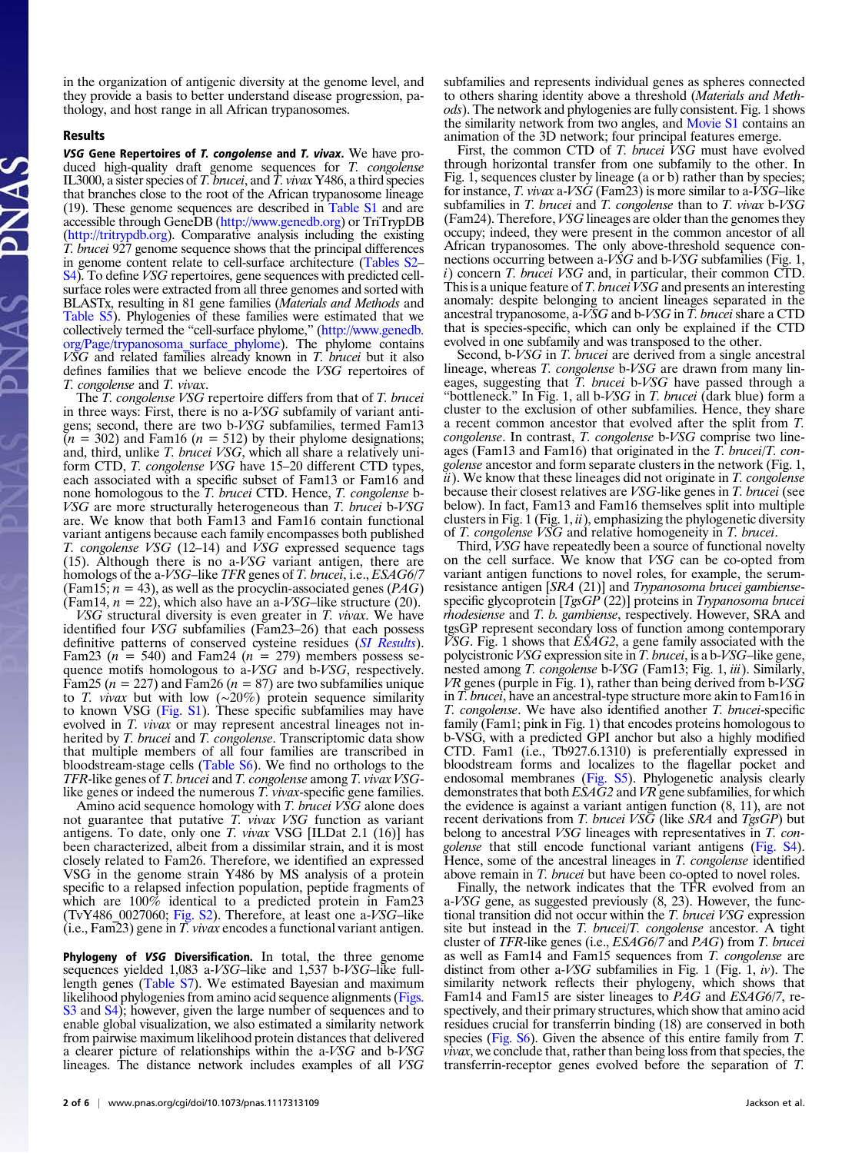in the organization of antigenic diversity at the genome level, and they provide a basis to better understand disease progression, pathology, and host range in all African trypanosomes.

## Results

**VSG Gene Repertoires of T. congolense and T. vivax.** We have pro-<br>duced high-quality draft genome sequences for T. congolense IL3000, a sister species of T. brucei, and T. vivax Y486, a third species that branches close to the root of the African trypanosome lineage (19). These genome sequences are described in [Table S1](http://www.pnas.org/lookup/suppl/doi:10.1073/pnas.1117313109/-/DCSupplemental/st01.docx) and are accessible through GeneDB (<http://www.genedb.org>) or TriTrypDB [\(http://tritrypdb.org](http://tritrypdb.org)). Comparative analysis including the existing T. brucei 927 genome sequence shows that the principal differences in genome content relate to cell-surface architecture [\(Tables S2](http://www.pnas.org/lookup/suppl/doi:10.1073/pnas.1117313109/-/DCSupplemental/st02.docx)– [S4\)](http://www.pnas.org/lookup/suppl/doi:10.1073/pnas.1117313109/-/DCSupplemental/st04.docx). To define VSG repertoires, gene sequences with predicted cellsurface roles were extracted from all three genomes and sorted with BLASTx, resulting in 81 gene families (Materials and Methods and [Table S5\)](http://www.pnas.org/lookup/suppl/doi:10.1073/pnas.1117313109/-/DCSupplemental/st05.docx). Phylogenies of these families were estimated that we collectively termed the "cell-surface phylome," [\(http://www.genedb.](http://www.genedb.org/Page/trypanosoma_surface_phylome) [org/Page/trypanosoma\\_surface\\_phylome](http://www.genedb.org/Page/trypanosoma_surface_phylome)). The phylome contains  $V\tilde{S}G$  and related families already known in  $T$ . *brucei* but it also defines families that we believe encode the VSG repertoires of T. congolense and T. vivax.

The T. congolense VSG repertoire differs from that of T. brucei in three ways: First, there is no a-VSG subfamily of variant antigens; second, there are two b-VSG subfamilies, termed Fam13  $(n = 302)$  and Fam16 ( $n = 512$ ) by their phylome designations; and, third, unlike T. brucei VSG, which all share a relatively uniform CTD, T. congolense VSG have 15-20 different CTD types, each associated with a specific subset of Fam13 or Fam16 and none homologous to the *T. brucei* CTD. Hence, *T. congolense* b-VSG are more structurally heterogeneous than T. brucei b-VSG are. We know that both Fam13 and Fam16 contain functional variant antigens because each family encompasses both published T. congolense VSG (12–14) and VSG expressed sequence tags (15). Although there is no a-VSG variant antigen, there are homologs of the a-VSG–like TFR genes of T. brucei, i.e., ESAG6/7 (Fam15;  $n = 43$ ), as well as the procyclin-associated genes (*PAG*) (Fam14,  $n = 22$ ), which also have an a-VSG–like structure (20).

VSG structural diversity is even greater in T. vivax. We have identified four VSG subfamilies (Fam23–26) that each possess definitive patterns of conserved cysteine residues ([SI Results](http://www.pnas.org/lookup/suppl/doi:10.1073/pnas.1117313109/-/DCSupplemental/pnas.201117313SI.pdf?targetid=nameddest=STXT)). Fam23 ( $n = 540$ ) and Fam24 ( $n = 279$ ) members possess sequence motifs homologous to a-VSG and b-VSG, respectively. Fam25 ( $n = 227$ ) and Fam26 ( $n = 87$ ) are two subfamilies unique to T. *vivax* but with low ( $\sim$ 20%) protein sequence similarity to known VSG [\(Fig. S1](http://www.pnas.org/lookup/suppl/doi:10.1073/pnas.1117313109/-/DCSupplemental/pnas.201117313SI.pdf?targetid=nameddest=SF1)). These specific subfamilies may have evolved in T. vivax or may represent ancestral lineages not inherited by T. brucei and T. congolense. Transcriptomic data show that multiple members of all four families are transcribed in bloodstream-stage cells ([Table S6\)](http://www.pnas.org/lookup/suppl/doi:10.1073/pnas.1117313109/-/DCSupplemental/st06.docx). We find no orthologs to the TFR-like genes of T. brucei and T. congolense among T. vivax VSGlike genes or indeed the numerous T. vivax-specific gene families.

Amino acid sequence homology with T. brucei VSG alone does not guarantee that putative  $T$ . vivax VSG function as variant antigens. To date, only one T. vivax VSG [ILDat 2.1 (16)] has been characterized, albeit from a dissimilar strain, and it is most closely related to Fam26. Therefore, we identified an expressed VSG in the genome strain Y486 by MS analysis of a protein specific to a relapsed infection population, peptide fragments of which are  $100\%$  identical to a predicted protein in Fam23 (TvY486\_0027060; [Fig. S2](http://www.pnas.org/lookup/suppl/doi:10.1073/pnas.1117313109/-/DCSupplemental/pnas.201117313SI.pdf?targetid=nameddest=SF2)). Therefore, at least one a- $VSG$ –like  $(i.e., Fam23)$  gene in  $\overline{T}$ . *vivax* encodes a functional variant antigen.

Phylogeny of VSG Diversification. In total, the three genome sequences yielded 1,083 a-VSG–like and 1,537 b-VSG–like fulllength genes [\(Table S7](http://www.pnas.org/lookup/suppl/doi:10.1073/pnas.1117313109/-/DCSupplemental/st07.docx)). We estimated Bayesian and maximum likelihood phylogenies from amino acid sequence alignments [\(Figs.](http://www.pnas.org/lookup/suppl/doi:10.1073/pnas.1117313109/-/DCSupplemental/pnas.201117313SI.pdf?targetid=nameddest=SF3) [S3](http://www.pnas.org/lookup/suppl/doi:10.1073/pnas.1117313109/-/DCSupplemental/pnas.201117313SI.pdf?targetid=nameddest=SF3) and [S4](http://www.pnas.org/lookup/suppl/doi:10.1073/pnas.1117313109/-/DCSupplemental/pnas.201117313SI.pdf?targetid=nameddest=SF4)); however, given the large number of sequences and to enable global visualization, we also estimated a similarity network from pairwise maximum likelihood protein distances that delivered a clearer picture of relationships within the a-VSG and b-VSG lineages. The distance network includes examples of all VSG

First, the common CTD of T. brucei VSG must have evolved through horizontal transfer from one subfamily to the other. In Fig. 1, sequences cluster by lineage (a or b) rather than by species; for instance, T. vivax a-VSG (Fam23) is more similar to a-VSG–like subfamilies in T. brucei and T. congolense than to T. vivax b-VSG (Fam24). Therefore, VSG lineages are older than the genomes they occupy; indeed, they were present in the common ancestor of all African trypanosomes. The only above-threshold sequence connections occurring between a-VSG and b-VSG subfamilies (Fig. 1,  $i)$  concern T. brucei VSG and, in particular, their common CTD. This is a unique feature of T. brucei VSG and presents an interesting anomaly: despite belonging to ancient lineages separated in the ancestral trypanosome, a-VSG and b-VSG in T. brucei share a CTD that is species-specific, which can only be explained if the CTD evolved in one subfamily and was transposed to the other.

Second, b-VSG in T. brucei are derived from a single ancestral lineage, whereas T. congolense b-VSG are drawn from many lineages, suggesting that T. brucei b-VSG have passed through a "bottleneck." In Fig. 1, all b-VSG in T. brucei (dark blue) form a cluster to the exclusion of other subfamilies. Hence, they share a recent common ancestor that evolved after the split from T. congolense. In contrast, T. congolense b-VSG comprise two lineages (Fam13 and Fam16) that originated in the T. brucei/T. congolense ancestor and form separate clusters in the network (Fig. 1,  $ii)$ . We know that these lineages did not originate in  $T$ . *congolense* because their closest relatives are VSG-like genes in T. brucei (see below). In fact, Fam13 and Fam16 themselves split into multiple clusters in Fig. 1 (Fig. 1,  $ii$ ), emphasizing the phylogenetic diversity of T. congolense VSG and relative homogeneity in T. brucei.

Third, VSG have repeatedly been a source of functional novelty on the cell surface. We know that VSG can be co-opted from variant antigen functions to novel roles, for example, the serumresistance antigen [SRA (21)] and Trypanosoma brucei gambiensespecific glycoprotein [TgsGP (22)] proteins in Trypanosoma brucei rhodesiense and T. b. gambiense, respectively. However, SRA and tgsGP represent secondary loss of function among contemporary  $\widetilde{V}$ SG. Fig. 1 shows that  $\widetilde{ES}AG2$ , a gene family associated with the polycistronic VSG expression site in T. brucei, is a b-VSG–like gene, nested among T. congolense b-VSG (Fam13; Fig. 1, iii). Similarly, VR genes (purple in Fig. 1), rather than being derived from b-VSG in T. brucei, have an ancestral-type structure more akin to Fam16 in T. congolense. We have also identified another T. brucei-specific family (Fam1; pink in Fig. 1) that encodes proteins homologous to b-VSG, with a predicted GPI anchor but also a highly modified CTD. Fam1 (i.e., Tb927.6.1310) is preferentially expressed in bloodstream forms and localizes to the flagellar pocket and endosomal membranes [\(Fig. S5](http://www.pnas.org/lookup/suppl/doi:10.1073/pnas.1117313109/-/DCSupplemental/pnas.201117313SI.pdf?targetid=nameddest=SF5)). Phylogenetic analysis clearly demonstrates that both  $E\dot{S}AG2$  and  $VR$  gene subfamilies, for which the evidence is against a variant antigen function (8, 11), are not recent derivations from T. brucei VS $\tilde{G}$  (like SRA and TgsGP) but belong to ancestral *VSG* lineages with representatives in *T. con*golense that still encode functional variant antigens ([Fig. S4\)](http://www.pnas.org/lookup/suppl/doi:10.1073/pnas.1117313109/-/DCSupplemental/pnas.201117313SI.pdf?targetid=nameddest=SF4). Hence, some of the ancestral lineages in T. congolense identified above remain in T. brucei but have been co-opted to novel roles.

Finally, the network indicates that the TFR evolved from an a-VSG gene, as suggested previously (8, 23). However, the functional transition did not occur within the T. brucei VSG expression site but instead in the T. brucei/T. congolense ancestor. A tight cluster of TFR-like genes (i.e., ESAG6/7 and PAG) from T. brucei as well as Fam14 and Fam15 sequences from T. congolense are distinct from other a-VSG subfamilies in Fig. 1 (Fig. 1,  $iv$ ). The similarity network reflects their phylogeny, which shows that Fam14 and Fam15 are sister lineages to *PAG* and *ESAG6/7*, respectively, and their primary structures, which show that amino acid residues crucial for transferrin binding (18) are conserved in both species ([Fig. S6\)](http://www.pnas.org/lookup/suppl/doi:10.1073/pnas.1117313109/-/DCSupplemental/pnas.201117313SI.pdf?targetid=nameddest=SF6). Given the absence of this entire family from T. vivax, we conclude that, rather than being loss from that species, the transferrin-receptor genes evolved before the separation of T.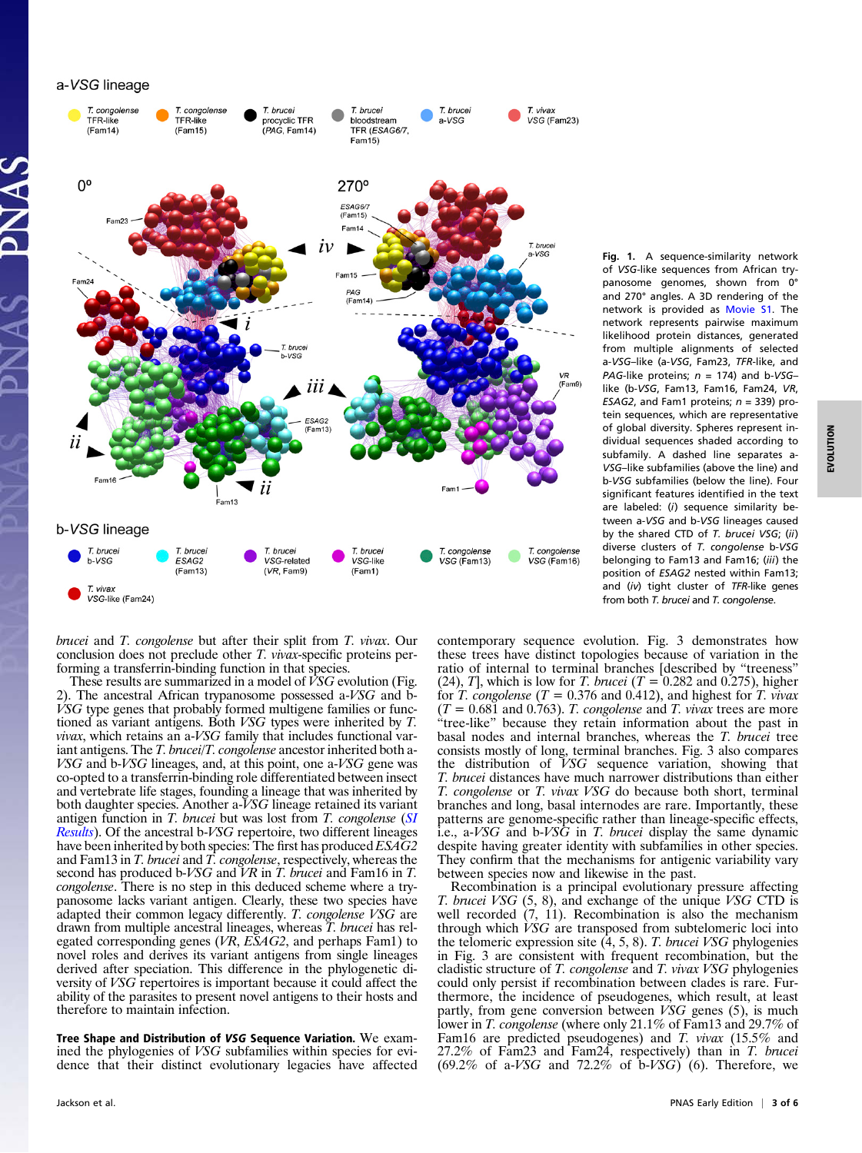a-VSG lineage



VSG-like (Fam24)

brucei and T. congolense but after their split from T. vivax. Our conclusion does not preclude other T. vivax-specific proteins performing a transferrin-binding function in that species.

These results are summarized in a model of  $\hat{V}SG$  evolution (Fig. 2). The ancestral African trypanosome possessed a-VSG and b- $\dot{V}SG$  type genes that probably formed multigene families or functioned as variant antigens. Both VSG types were inherited by T. vivax, which retains an a-VSG family that includes functional variant antigens. The T. brucei/T. congolense ancestor inherited both a-VSG and b-VSG lineages, and, at this point, one a-VSG gene was co-opted to a transferrin-binding role differentiated between insect and vertebrate life stages, founding a lineage that was inherited by both daughter species. Another a-VSG lineage retained its variant antigen function in T. brucei but was lost from T. congolense ([SI](http://www.pnas.org/lookup/suppl/doi:10.1073/pnas.1117313109/-/DCSupplemental/pnas.201117313SI.pdf?targetid=nameddest=STXT) [Results](http://www.pnas.org/lookup/suppl/doi:10.1073/pnas.1117313109/-/DCSupplemental/pnas.201117313SI.pdf?targetid=nameddest=STXT)). Of the ancestral b-VSG repertoire, two different lineages have been inherited by both species. The first has produced  $ESAG2$ and Fam13 in T. brucei and T. congolense, respectively, whereas the second has produced b-VSG and VR in T. brucei and Fam16 in T. congolense. There is no step in this deduced scheme where a trypanosome lacks variant antigen. Clearly, these two species have adapted their common legacy differently. T. congolense VSG are drawn from multiple ancestral lineages, whereas T. brucei has relegated corresponding genes (VR, ESAG2, and perhaps Fam1) to novel roles and derives its variant antigens from single lineages derived after speciation. This difference in the phylogenetic diversity of VSG repertoires is important because it could affect the ability of the parasites to present novel antigens to their hosts and therefore to maintain infection.

Tree Shape and Distribution of VSG Sequence Variation. We examined the phylogenies of VSG subfamilies within species for evidence that their distinct evolutionary legacies have affected Fig. 1. A sequence-similarity network of VSG-like sequences from African trypanosome genomes, shown from 0° and 270° angles. A 3D rendering of the network is provided as [Movie S1](http://www.pnas.org/lookup/suppl/doi:10.1073/pnas.1117313109/-/DCSupplemental/sm01.swf). The network represents pairwise maximum likelihood protein distances, generated from multiple alignments of selected a-VSG–like (a-VSG, Fam23, TFR-like, and PAG-like proteins;  $n = 174$ ) and b-VSGlike (b-VSG, Fam13, Fam16, Fam24, VR, ESAG2, and Fam1 proteins;  $n = 339$ ) protein sequences, which are representative of global diversity. Spheres represent individual sequences shaded according to subfamily. A dashed line separates a-VSG–like subfamilies (above the line) and b-VSG subfamilies (below the line). Four significant features identified in the text are labeled: (i) sequence similarity between a-VSG and b-VSG lineages caused by the shared CTD of T. brucei VSG; (ii) diverse clusters of T. congolense b-VSG belonging to Fam13 and Fam16; (iii) the position of ESAG2 nested within Fam13; and  $(iv)$  tight cluster of TFR-like genes from both T. brucei and T. congolense.

contemporary sequence evolution. Fig. 3 demonstrates how these trees have distinct topologies because of variation in the ratio of internal to terminal branches [described by "treeness" (24), T], which is low for T. brucei ( $T = 0.282$  and 0.275), higher for T. congolense ( $T = 0.376$  and 0.412), and highest for T. vivax  $(T = 0.681$  and 0.763). T. congolense and T. vivax trees are more tree-like" because they retain information about the past in basal nodes and internal branches, whereas the T. brucei tree consists mostly of long, terminal branches. Fig. 3 also compares the distribution of VSG sequence variation, showing that T. brucei distances have much narrower distributions than either T. congolense or T. vivax VSG do because both short, terminal branches and long, basal internodes are rare. Importantly, these patterns are genome-specific rather than lineage-specific effects, i.e., a-VSG and b-VSG in T. brucei display the same dynamic despite having greater identity with subfamilies in other species. They confirm that the mechanisms for antigenic variability vary between species now and likewise in the past.

Recombination is a principal evolutionary pressure affecting T. brucei VSG (5, 8), and exchange of the unique VSG CTD is well recorded (7, 11). Recombination is also the mechanism through which VSG are transposed from subtelomeric loci into the telomeric expression site  $(4, 5, 8)$ . T. brucei VSG phylogenies in Fig. 3 are consistent with frequent recombination, but the cladistic structure of T. congolense and T. vivax VSG phylogenies could only persist if recombination between clades is rare. Furthermore, the incidence of pseudogenes, which result, at least partly, from gene conversion between VSG genes (5), is much lower in *T. congolense* (where only 21.1% of Fam13 and 29.7% of Fam16 are predicted pseudogenes) and T. vivax (15.5% and 27.2% of Fam23 and Fam24, respectively) than in T. brucei  $(69.2\% \text{ of a-}VSG \text{ and } 72.2\% \text{ of b-}VSG)$  (6). Therefore, we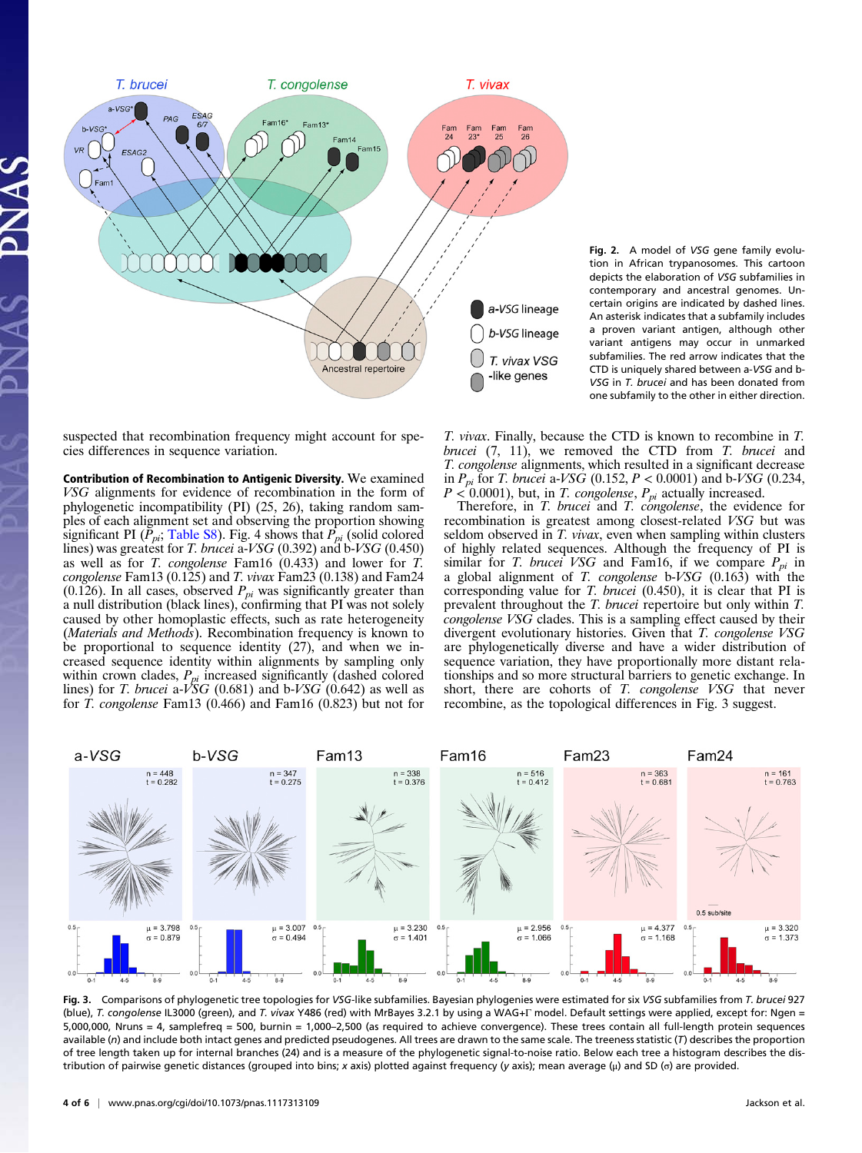

Fig. 2. A model of VSG gene family evolution in African trypanosomes. This cartoon depicts the elaboration of VSG subfamilies in contemporary and ancestral genomes. Uncertain origins are indicated by dashed lines. An asterisk indicates that a subfamily includes a proven variant antigen, although other variant antigens may occur in unmarked subfamilies. The red arrow indicates that the CTD is uniquely shared between a-VSG and b-VSG in T. brucei and has been donated from one subfamily to the other in either direction.

suspected that recombination frequency might account for species differences in sequence variation.

Contribution of Recombination to Antigenic Diversity. We examined VSG alignments for evidence of recombination in the form of phylogenetic incompatibility (PI) (25, 26), taking random samples of each alignment set and observing the proportion showing significant PI ( $\tilde{P}_{pi}$ ; [Table S8\)](http://www.pnas.org/lookup/suppl/doi:10.1073/pnas.1117313109/-/DCSupplemental/st08.docx). Fig. 4 shows that  $\tilde{P}_{pi}$  (solid colored lines) was greatest for T. brucei a-VSG (0.392) and b-VSG (0.450) as well as for T. congolense Fam16 (0.433) and lower for T. congolense Fam13 (0.125) and T. vivax Fam23 (0.138) and Fam24 (0.126). In all cases, observed  $P_{pi}$  was significantly greater than a null distribution (black lines), confirming that PI was not solely caused by other homoplastic effects, such as rate heterogeneity (Materials and Methods). Recombination frequency is known to be proportional to sequence identity (27), and when we increased sequence identity within alignments by sampling only within crown clades,  $P_{pi}$  increased significantly (dashed colored lines) for T. brucei a-VSG (0.681) and b-VSG (0.642) as well as for T. congolense Fam13 (0.466) and Fam16 (0.823) but not for

T. vivax. Finally, because the CTD is known to recombine in T. brucei  $(7, 11)$ , we removed the CTD from T. brucei and T. congolense alignments, which resulted in a significant decrease in  $P_{pi}$  for *T. brucei* a-*VSG* (0.152,  $P < 0.0001$ ) and b-*VSG* (0.234,  $P < 0.0001$ , but, in T. congolense,  $P_{pi}$  actually increased.

Therefore, in T. brucei and T. congolense, the evidence for recombination is greatest among closest-related VSG but was seldom observed in T. *vivax*, even when sampling within clusters of highly related sequences. Although the frequency of PI is similar for T. brucei VSG and Fam16, if we compare  $P_{pi}$  in a global alignment of  $T$ . congolense b-VSG (0.163) with the corresponding value for T. brucei (0.450), it is clear that PI is prevalent throughout the T. brucei repertoire but only within T.  $cong$   $VSG$  clades. This is a sampling effect caused by their divergent evolutionary histories. Given that T. congolense VSG are phylogenetically diverse and have a wider distribution of sequence variation, they have proportionally more distant relationships and so more structural barriers to genetic exchange. In short, there are cohorts of T. congolense VSG that never recombine, as the topological differences in Fig. 3 suggest.



Fig. 3. Comparisons of phylogenetic tree topologies for VSG-like subfamilies. Bayesian phylogenies were estimated for six VSG subfamilies from T. brucei 927 (blue), T. congolense IL3000 (green), and T. vivax Y486 (red) with MrBayes 3.2.1 by using a WAG+Γ model. Default settings were applied, except for: Ngen = 5,000,000, Nruns = 4, samplefreq = 500, burnin = 1,000–2,500 (as required to achieve convergence). These trees contain all full-length protein sequences available (n) and include both intact genes and predicted pseudogenes. All trees are drawn to the same scale. The treeness statistic (T) describes the proportion of tree length taken up for internal branches (24) and is a measure of the phylogenetic signal-to-noise ratio. Below each tree a histogram describes the distribution of pairwise genetic distances (grouped into bins; x axis) plotted against frequency (y axis); mean average (μ) and SD (σ) are provided.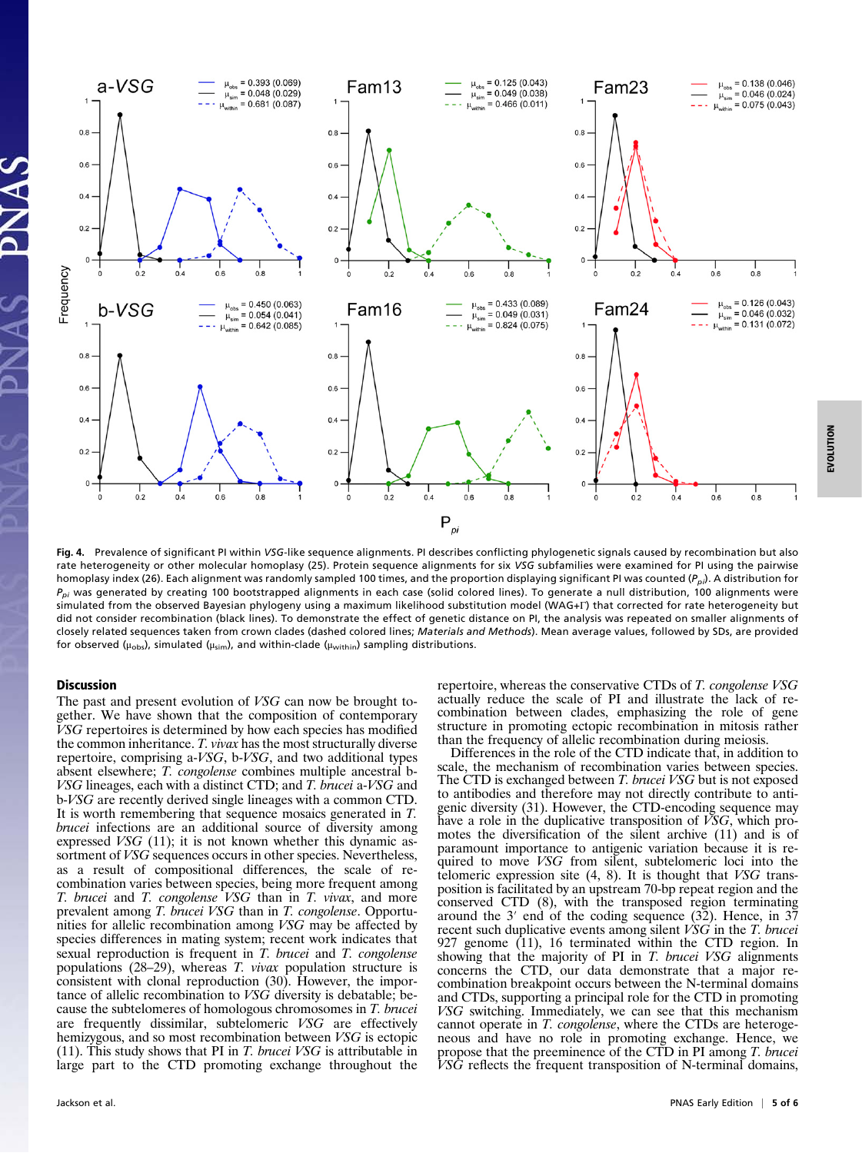

Fig. 4. Prevalence of significant PI within VSG-like sequence alignments. PI describes conflicting phylogenetic signals caused by recombination but also rate heterogeneity or other molecular homoplasy (25). Protein sequence alignments for six VSG subfamilies were examined for PI using the pairwise homoplasy index (26). Each alignment was randomly sampled 100 times, and the proportion displaying significant PI was counted ( $P_{\text{D}}$ ). A distribution for  $P_{\textit{oi}}$  was generated by creating 100 bootstrapped alignments in each case (solid colored lines). To generate a null distribution, 100 alignments were simulated from the observed Bayesian phylogeny using a maximum likelihood substitution model (WAG+Γ) that corrected for rate heterogeneity but did not consider recombination (black lines). To demonstrate the effect of genetic distance on PI, the analysis was repeated on smaller alignments of closely related sequences taken from crown clades (dashed colored lines; Materials and Methods). Mean average values, followed by SDs, are provided for observed ( $\mu_{obs}$ ), simulated ( $\mu_{sim}$ ), and within-clade ( $\mu_{within}$ ) sampling distributions.

## **Discussion**

The past and present evolution of VSG can now be brought together. We have shown that the composition of contemporary VSG repertoires is determined by how each species has modified the common inheritance. T. vivax has the most structurally diverse repertoire, comprising a-VSG, b-VSG, and two additional types absent elsewhere; T. congolense combines multiple ancestral b-VSG lineages, each with a distinct CTD; and T. brucei a-VSG and b-VSG are recently derived single lineages with a common CTD. It is worth remembering that sequence mosaics generated in T. brucei infections are an additional source of diversity among expressed VSG (11); it is not known whether this dynamic assortment of *VSG* sequences occurs in other species. Nevertheless, as a result of compositional differences, the scale of recombination varies between species, being more frequent among T. brucei and T. congolense VSG than in T. vivax, and more prevalent among T. brucei VSG than in T. congolense. Opportunities for allelic recombination among VSG may be affected by species differences in mating system; recent work indicates that sexual reproduction is frequent in T. brucei and T. congolense populations (28–29), whereas T. vivax population structure is consistent with clonal reproduction (30). However, the importance of allelic recombination to VSG diversity is debatable; because the subtelomeres of homologous chromosomes in T. brucei are frequently dissimilar, subtelomeric VSG are effectively hemizygous, and so most recombination between *VSG* is ectopic (11). This study shows that PI in T. brucei  $VSG$  is attributable in large part to the CTD promoting exchange throughout the

repertoire, whereas the conservative CTDs of T. congolense VSG actually reduce the scale of PI and illustrate the lack of recombination between clades, emphasizing the role of gene structure in promoting ectopic recombination in mitosis rather than the frequency of allelic recombination during meiosis.

Differences in the role of the CTD indicate that, in addition to scale, the mechanism of recombination varies between species. The CTD is exchanged between *T. brucei VSG* but is not exposed to antibodies and therefore may not directly contribute to antigenic diversity (31). However, the CTD-encoding sequence may have a role in the duplicative transposition of VSG, which promotes the diversification of the silent archive (11) and is of paramount importance to antigenic variation because it is required to move *VSG* from silent, subtelomeric loci into the telomeric expression site (4, 8). It is thought that VSG transposition is facilitated by an upstream 70-bp repeat region and the conserved CTD (8), with the transposed region terminating around the  $3'$  end of the coding sequence  $(32)$ . Hence, in  $37$ recent such duplicative events among silent VSG in the T. brucei 927 genome (11), 16 terminated within the CTD region. In showing that the majority of PI in T. brucei VSG alignments concerns the CTD, our data demonstrate that a major recombination breakpoint occurs between the N-terminal domains and CTDs, supporting a principal role for the CTD in promoting VSG switching. Immediately, we can see that this mechanism cannot operate in T. congolense, where the CTDs are heterogeneous and have no role in promoting exchange. Hence, we propose that the preeminence of the CTD in PI among T. brucei VSG reflects the frequent transposition of N-terminal domains,